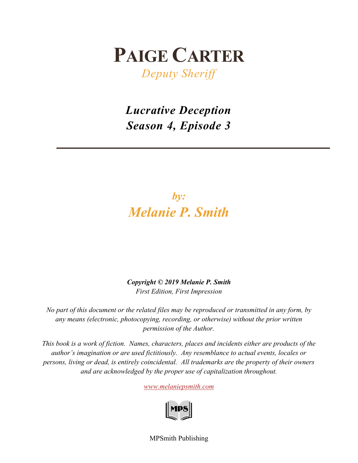## **PAIGE CARTER**

*Deputy Sheriff*

*Lucrative Deception Season 4, Episode 3*

## *by: Melanie P. Smith*

*Copyright © 2019 Melanie P. Smith First Edition, First Impression*

*No part of this document or the related files may be reproduced or transmitted in any form, by any means (electronic, photocopying, recording, or otherwise) without the prior written permission of the Author.*

*This book is a work of fiction. Names, characters, places and incidents either are products of the author's imagination or are used fictitiously. Any resemblance to actual events, locales or persons, living or dead, is entirely coincidental. All trademarks are the property of their owners and are acknowledged by the proper use of capitalization throughout.*

*[www.melaniepsmith.com](http://www.melaniepsmith.com/)*



MPSmith Publishing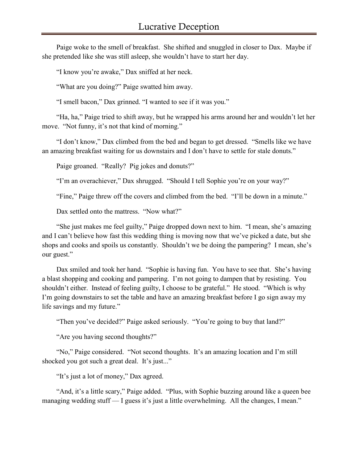Paige woke to the smell of breakfast. She shifted and snuggled in closer to Dax. Maybe if she pretended like she was still asleep, she wouldn't have to start her day.

"I know you're awake," Dax sniffed at her neck.

"What are you doing?" Paige swatted him away.

"I smell bacon," Dax grinned. "I wanted to see if it was you."

"Ha, ha," Paige tried to shift away, but he wrapped his arms around her and wouldn't let her move. "Not funny, it's not that kind of morning."

"I don't know," Dax climbed from the bed and began to get dressed. "Smells like we have an amazing breakfast waiting for us downstairs and I don't have to settle for stale donuts."

Paige groaned. "Really? Pig jokes and donuts?"

"I'm an overachiever," Dax shrugged. "Should I tell Sophie you're on your way?"

"Fine," Paige threw off the covers and climbed from the bed. "I'll be down in a minute."

Dax settled onto the mattress. "Now what?"

"She just makes me feel guilty," Paige dropped down next to him. "I mean, she's amazing and I can't believe how fast this wedding thing is moving now that we've picked a date, but she shops and cooks and spoils us constantly. Shouldn't we be doing the pampering? I mean, she's our guest."

Dax smiled and took her hand. "Sophie is having fun. You have to see that. She's having a blast shopping and cooking and pampering. I'm not going to dampen that by resisting. You shouldn't either. Instead of feeling guilty, I choose to be grateful." He stood. "Which is why I'm going downstairs to set the table and have an amazing breakfast before I go sign away my life savings and my future."

"Then you've decided?" Paige asked seriously. "You're going to buy that land?"

"Are you having second thoughts?"

"No," Paige considered. "Not second thoughts. It's an amazing location and I'm still shocked you got such a great deal. It's just..."

"It's just a lot of money," Dax agreed.

"And, it's a little scary," Paige added. "Plus, with Sophie buzzing around like a queen bee managing wedding stuff — I guess it's just a little overwhelming. All the changes, I mean."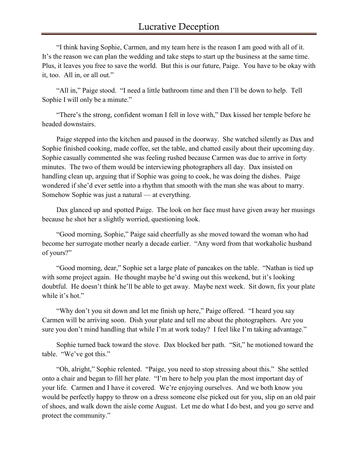"I think having Sophie, Carmen, and my team here is the reason I am good with all of it. It's the reason we can plan the wedding and take steps to start up the business at the same time. Plus, it leaves you free to save the world. But this is our future, Paige. You have to be okay with it, too. All in, or all out."

"All in," Paige stood. "I need a little bathroom time and then I'll be down to help. Tell Sophie I will only be a minute."

"There's the strong, confident woman I fell in love with," Dax kissed her temple before he headed downstairs.

Paige stepped into the kitchen and paused in the doorway. She watched silently as Dax and Sophie finished cooking, made coffee, set the table, and chatted easily about their upcoming day. Sophie casually commented she was feeling rushed because Carmen was due to arrive in forty minutes. The two of them would be interviewing photographers all day. Dax insisted on handling clean up, arguing that if Sophie was going to cook, he was doing the dishes. Paige wondered if she'd ever settle into a rhythm that smooth with the man she was about to marry. Somehow Sophie was just a natural — at everything.

Dax glanced up and spotted Paige. The look on her face must have given away her musings because he shot her a slightly worried, questioning look.

"Good morning, Sophie," Paige said cheerfully as she moved toward the woman who had become her surrogate mother nearly a decade earlier. "Any word from that workaholic husband of yours?"

"Good morning, dear," Sophie set a large plate of pancakes on the table. "Nathan is tied up with some project again. He thought maybe he'd swing out this weekend, but it's looking doubtful. He doesn't think he'll be able to get away. Maybe next week. Sit down, fix your plate while it's hot."

"Why don't you sit down and let me finish up here," Paige offered. "I heard you say Carmen will be arriving soon. Dish your plate and tell me about the photographers. Are you sure you don't mind handling that while I'm at work today? I feel like I'm taking advantage."

Sophie turned back toward the stove. Dax blocked her path. "Sit," he motioned toward the table. "We've got this."

"Oh, alright," Sophie relented. "Paige, you need to stop stressing about this." She settled onto a chair and began to fill her plate. "I'm here to help you plan the most important day of your life. Carmen and I have it covered. We're enjoying ourselves. And we both know you would be perfectly happy to throw on a dress someone else picked out for you, slip on an old pair of shoes, and walk down the aisle come August. Let me do what I do best, and you go serve and protect the community."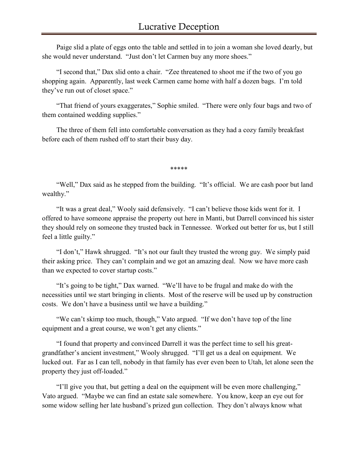Paige slid a plate of eggs onto the table and settled in to join a woman she loved dearly, but she would never understand. "Just don't let Carmen buy any more shoes."

"I second that," Dax slid onto a chair. "Zee threatened to shoot me if the two of you go shopping again. Apparently, last week Carmen came home with half a dozen bags. I'm told they've run out of closet space."

"That friend of yours exaggerates," Sophie smiled. "There were only four bags and two of them contained wedding supplies."

The three of them fell into comfortable conversation as they had a cozy family breakfast before each of them rushed off to start their busy day.

\*\*\*\*\*

"Well," Dax said as he stepped from the building. "It's official. We are cash poor but land wealthy."

"It was a great deal," Wooly said defensively. "I can't believe those kids went for it. I offered to have someone appraise the property out here in Manti, but Darrell convinced his sister they should rely on someone they trusted back in Tennessee. Worked out better for us, but I still feel a little guilty."

"I don't," Hawk shrugged. "It's not our fault they trusted the wrong guy. We simply paid their asking price. They can't complain and we got an amazing deal. Now we have more cash than we expected to cover startup costs."

"It's going to be tight," Dax warned. "We'll have to be frugal and make do with the necessities until we start bringing in clients. Most of the reserve will be used up by construction costs. We don't have a business until we have a building."

"We can't skimp too much, though," Vato argued. "If we don't have top of the line equipment and a great course, we won't get any clients."

"I found that property and convinced Darrell it was the perfect time to sell his greatgrandfather's ancient investment," Wooly shrugged. "I'll get us a deal on equipment. We lucked out. Far as I can tell, nobody in that family has ever even been to Utah, let alone seen the property they just off-loaded."

"I'll give you that, but getting a deal on the equipment will be even more challenging," Vato argued. "Maybe we can find an estate sale somewhere. You know, keep an eye out for some widow selling her late husband's prized gun collection. They don't always know what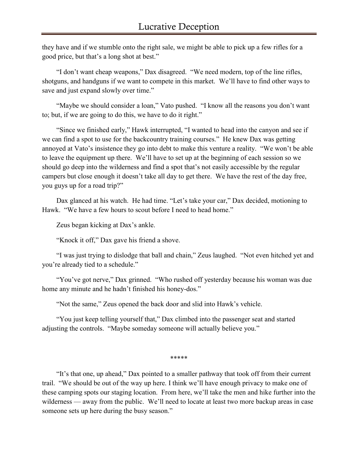they have and if we stumble onto the right sale, we might be able to pick up a few rifles for a good price, but that's a long shot at best."

"I don't want cheap weapons," Dax disagreed. "We need modern, top of the line rifles, shotguns, and handguns if we want to compete in this market. We'll have to find other ways to save and just expand slowly over time."

"Maybe we should consider a loan," Vato pushed. "I know all the reasons you don't want to; but, if we are going to do this, we have to do it right."

"Since we finished early," Hawk interrupted, "I wanted to head into the canyon and see if we can find a spot to use for the backcountry training courses." He knew Dax was getting annoyed at Vato's insistence they go into debt to make this venture a reality. "We won't be able to leave the equipment up there. We'll have to set up at the beginning of each session so we should go deep into the wilderness and find a spot that's not easily accessible by the regular campers but close enough it doesn't take all day to get there. We have the rest of the day free, you guys up for a road trip?"

Dax glanced at his watch. He had time. "Let's take your car," Dax decided, motioning to Hawk. "We have a few hours to scout before I need to head home."

Zeus began kicking at Dax's ankle.

"Knock it off," Dax gave his friend a shove.

"I was just trying to dislodge that ball and chain," Zeus laughed. "Not even hitched yet and you're already tied to a schedule."

"You've got nerve," Dax grinned. "Who rushed off yesterday because his woman was due home any minute and he hadn't finished his honey-dos."

"Not the same," Zeus opened the back door and slid into Hawk's vehicle.

"You just keep telling yourself that," Dax climbed into the passenger seat and started adjusting the controls. "Maybe someday someone will actually believe you."

\*\*\*\*\*

"It's that one, up ahead," Dax pointed to a smaller pathway that took off from their current trail. "We should be out of the way up here. I think we'll have enough privacy to make one of these camping spots our staging location. From here, we'll take the men and hike further into the wilderness — away from the public. We'll need to locate at least two more backup areas in case someone sets up here during the busy season."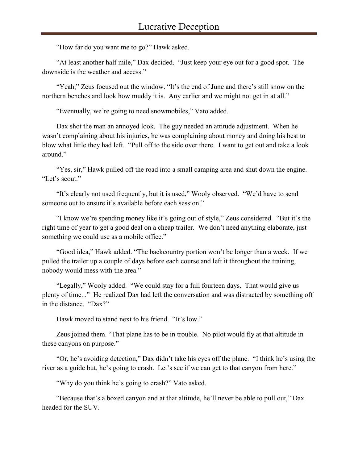"How far do you want me to go?" Hawk asked.

"At least another half mile," Dax decided. "Just keep your eye out for a good spot. The downside is the weather and access."

"Yeah," Zeus focused out the window. "It's the end of June and there's still snow on the northern benches and look how muddy it is. Any earlier and we might not get in at all."

"Eventually, we're going to need snowmobiles," Vato added.

Dax shot the man an annoyed look. The guy needed an attitude adjustment. When he wasn't complaining about his injuries, he was complaining about money and doing his best to blow what little they had left. "Pull off to the side over there. I want to get out and take a look around."

"Yes, sir," Hawk pulled off the road into a small camping area and shut down the engine. "Let's scout."

"It's clearly not used frequently, but it is used," Wooly observed. "We'd have to send someone out to ensure it's available before each session."

"I know we're spending money like it's going out of style," Zeus considered. "But it's the right time of year to get a good deal on a cheap trailer. We don't need anything elaborate, just something we could use as a mobile office."

"Good idea," Hawk added. "The backcountry portion won't be longer than a week. If we pulled the trailer up a couple of days before each course and left it throughout the training, nobody would mess with the area."

"Legally," Wooly added. "We could stay for a full fourteen days. That would give us plenty of time..." He realized Dax had left the conversation and was distracted by something off in the distance. "Dax?"

Hawk moved to stand next to his friend. "It's low."

Zeus joined them. "That plane has to be in trouble. No pilot would fly at that altitude in these canyons on purpose."

"Or, he's avoiding detection," Dax didn't take his eyes off the plane. "I think he's using the river as a guide but, he's going to crash. Let's see if we can get to that canyon from here."

"Why do you think he's going to crash?" Vato asked.

"Because that's a boxed canyon and at that altitude, he'll never be able to pull out," Dax headed for the SUV.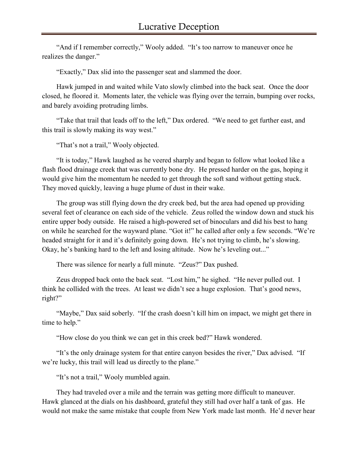"And if I remember correctly," Wooly added. "It's too narrow to maneuver once he realizes the danger."

"Exactly," Dax slid into the passenger seat and slammed the door.

Hawk jumped in and waited while Vato slowly climbed into the back seat. Once the door closed, he floored it. Moments later, the vehicle was flying over the terrain, bumping over rocks, and barely avoiding protruding limbs.

"Take that trail that leads off to the left," Dax ordered. "We need to get further east, and this trail is slowly making its way west."

"That's not a trail," Wooly objected.

"It is today," Hawk laughed as he veered sharply and began to follow what looked like a flash flood drainage creek that was currently bone dry. He pressed harder on the gas, hoping it would give him the momentum he needed to get through the soft sand without getting stuck. They moved quickly, leaving a huge plume of dust in their wake.

The group was still flying down the dry creek bed, but the area had opened up providing several feet of clearance on each side of the vehicle. Zeus rolled the window down and stuck his entire upper body outside. He raised a high-powered set of binoculars and did his best to hang on while he searched for the wayward plane. "Got it!" he called after only a few seconds. "We're headed straight for it and it's definitely going down. He's not trying to climb, he's slowing. Okay, he's banking hard to the left and losing altitude. Now he's leveling out..."

There was silence for nearly a full minute. "Zeus?" Dax pushed.

Zeus dropped back onto the back seat. "Lost him," he sighed. "He never pulled out. I think he collided with the trees. At least we didn't see a huge explosion. That's good news, right?"

"Maybe," Dax said soberly. "If the crash doesn't kill him on impact, we might get there in time to help."

"How close do you think we can get in this creek bed?" Hawk wondered.

"It's the only drainage system for that entire canyon besides the river," Dax advised. "If we're lucky, this trail will lead us directly to the plane."

"It's not a trail," Wooly mumbled again.

They had traveled over a mile and the terrain was getting more difficult to maneuver. Hawk glanced at the dials on his dashboard, grateful they still had over half a tank of gas. He would not make the same mistake that couple from New York made last month. He'd never hear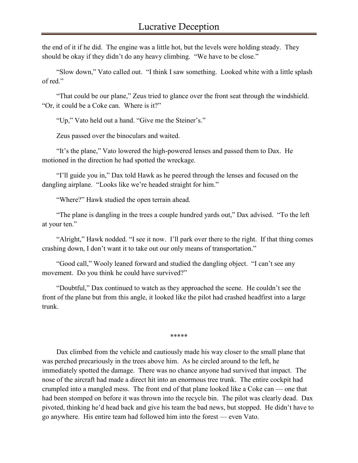the end of it if he did. The engine was a little hot, but the levels were holding steady. They should be okay if they didn't do any heavy climbing. "We have to be close."

"Slow down," Vato called out. "I think I saw something. Looked white with a little splash of red."

"That could be our plane," Zeus tried to glance over the front seat through the windshield. "Or, it could be a Coke can. Where is it?"

"Up," Vato held out a hand. "Give me the Steiner's."

Zeus passed over the binoculars and waited.

"It's the plane," Vato lowered the high-powered lenses and passed them to Dax. He motioned in the direction he had spotted the wreckage.

"I'll guide you in," Dax told Hawk as he peered through the lenses and focused on the dangling airplane. "Looks like we're headed straight for him."

"Where?" Hawk studied the open terrain ahead.

"The plane is dangling in the trees a couple hundred yards out," Dax advised. "To the left at your ten."

"Alright," Hawk nodded. "I see it now. I'll park over there to the right. If that thing comes crashing down, I don't want it to take out our only means of transportation."

"Good call," Wooly leaned forward and studied the dangling object. "I can't see any movement. Do you think he could have survived?"

"Doubtful," Dax continued to watch as they approached the scene. He couldn't see the front of the plane but from this angle, it looked like the pilot had crashed headfirst into a large trunk.

\*\*\*\*\*

Dax climbed from the vehicle and cautiously made his way closer to the small plane that was perched precariously in the trees above him. As he circled around to the left, he immediately spotted the damage. There was no chance anyone had survived that impact. The nose of the aircraft had made a direct hit into an enormous tree trunk. The entire cockpit had crumpled into a mangled mess. The front end of that plane looked like a Coke can — one that had been stomped on before it was thrown into the recycle bin. The pilot was clearly dead. Dax pivoted, thinking he'd head back and give his team the bad news, but stopped. He didn't have to go anywhere. His entire team had followed him into the forest — even Vato.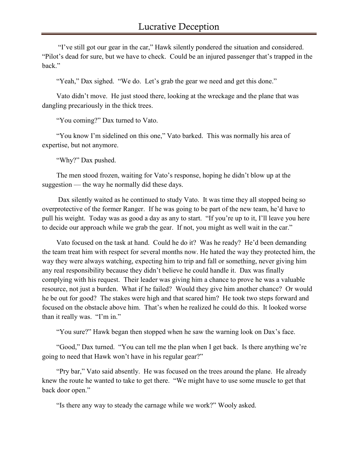"I've still got our gear in the car," Hawk silently pondered the situation and considered. "Pilot's dead for sure, but we have to check. Could be an injured passenger that's trapped in the back."

"Yeah," Dax sighed. "We do. Let's grab the gear we need and get this done."

Vato didn't move. He just stood there, looking at the wreckage and the plane that was dangling precariously in the thick trees.

"You coming?" Dax turned to Vato.

"You know I'm sidelined on this one," Vato barked. This was normally his area of expertise, but not anymore.

"Why?" Dax pushed.

The men stood frozen, waiting for Vato's response, hoping he didn't blow up at the suggestion — the way he normally did these days.

Dax silently waited as he continued to study Vato. It was time they all stopped being so overprotective of the former Ranger. If he was going to be part of the new team, he'd have to pull his weight. Today was as good a day as any to start. "If you're up to it, I'll leave you here to decide our approach while we grab the gear. If not, you might as well wait in the car."

Vato focused on the task at hand. Could he do it? Was he ready? He'd been demanding the team treat him with respect for several months now. He hated the way they protected him, the way they were always watching, expecting him to trip and fall or something, never giving him any real responsibility because they didn't believe he could handle it. Dax was finally complying with his request. Their leader was giving him a chance to prove he was a valuable resource, not just a burden. What if he failed? Would they give him another chance? Or would he be out for good? The stakes were high and that scared him? He took two steps forward and focused on the obstacle above him. That's when he realized he could do this. It looked worse than it really was. "I'm in."

"You sure?" Hawk began then stopped when he saw the warning look on Dax's face.

"Good," Dax turned. "You can tell me the plan when I get back. Is there anything we're going to need that Hawk won't have in his regular gear?"

"Pry bar," Vato said absently. He was focused on the trees around the plane. He already knew the route he wanted to take to get there. "We might have to use some muscle to get that back door open."

"Is there any way to steady the carnage while we work?" Wooly asked.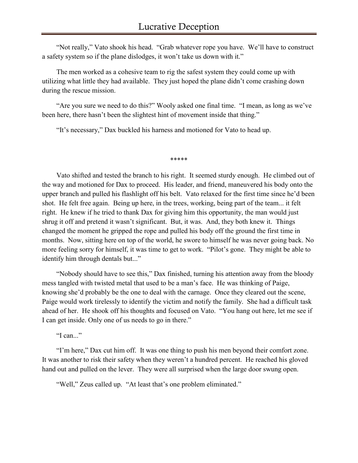"Not really," Vato shook his head. "Grab whatever rope you have. We'll have to construct a safety system so if the plane dislodges, it won't take us down with it."

The men worked as a cohesive team to rig the safest system they could come up with utilizing what little they had available. They just hoped the plane didn't come crashing down during the rescue mission.

"Are you sure we need to do this?" Wooly asked one final time. "I mean, as long as we've been here, there hasn't been the slightest hint of movement inside that thing."

"It's necessary," Dax buckled his harness and motioned for Vato to head up.

\*\*\*\*\*

Vato shifted and tested the branch to his right. It seemed sturdy enough. He climbed out of the way and motioned for Dax to proceed. His leader, and friend, maneuvered his body onto the upper branch and pulled his flashlight off his belt. Vato relaxed for the first time since he'd been shot. He felt free again. Being up here, in the trees, working, being part of the team... it felt right. He knew if he tried to thank Dax for giving him this opportunity, the man would just shrug it off and pretend it wasn't significant. But, it was. And, they both knew it. Things changed the moment he gripped the rope and pulled his body off the ground the first time in months. Now, sitting here on top of the world, he swore to himself he was never going back. No more feeling sorry for himself, it was time to get to work. "Pilot's gone. They might be able to identify him through dentals but..."

"Nobody should have to see this," Dax finished, turning his attention away from the bloody mess tangled with twisted metal that used to be a man's face. He was thinking of Paige, knowing she'd probably be the one to deal with the carnage. Once they cleared out the scene, Paige would work tirelessly to identify the victim and notify the family. She had a difficult task ahead of her. He shook off his thoughts and focused on Vato. "You hang out here, let me see if I can get inside. Only one of us needs to go in there."

"I can..."

"I'm here," Dax cut him off. It was one thing to push his men beyond their comfort zone. It was another to risk their safety when they weren't a hundred percent. He reached his gloved hand out and pulled on the lever. They were all surprised when the large door swung open.

"Well," Zeus called up. "At least that's one problem eliminated."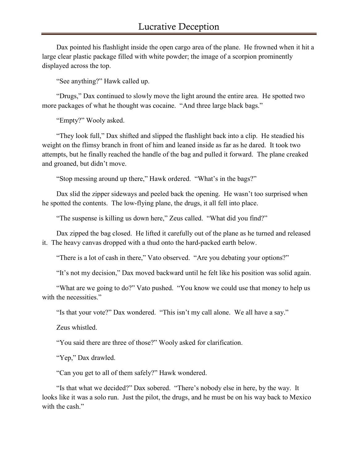Dax pointed his flashlight inside the open cargo area of the plane. He frowned when it hit a large clear plastic package filled with white powder; the image of a scorpion prominently displayed across the top.

"See anything?" Hawk called up.

"Drugs," Dax continued to slowly move the light around the entire area. He spotted two more packages of what he thought was cocaine. "And three large black bags."

"Empty?" Wooly asked.

"They look full," Dax shifted and slipped the flashlight back into a clip. He steadied his weight on the flimsy branch in front of him and leaned inside as far as he dared. It took two attempts, but he finally reached the handle of the bag and pulled it forward. The plane creaked and groaned, but didn't move.

"Stop messing around up there," Hawk ordered. "What's in the bags?"

Dax slid the zipper sideways and peeled back the opening. He wasn't too surprised when he spotted the contents. The low-flying plane, the drugs, it all fell into place.

"The suspense is killing us down here," Zeus called. "What did you find?"

Dax zipped the bag closed. He lifted it carefully out of the plane as he turned and released it. The heavy canvas dropped with a thud onto the hard-packed earth below.

"There is a lot of cash in there," Vato observed. "Are you debating your options?"

"It's not my decision," Dax moved backward until he felt like his position was solid again.

"What are we going to do?" Vato pushed. "You know we could use that money to help us with the necessities."

"Is that your vote?" Dax wondered. "This isn't my call alone. We all have a say."

Zeus whistled.

"You said there are three of those?" Wooly asked for clarification.

"Yep," Dax drawled.

"Can you get to all of them safely?" Hawk wondered.

"Is that what we decided?" Dax sobered. "There's nobody else in here, by the way. It looks like it was a solo run. Just the pilot, the drugs, and he must be on his way back to Mexico with the cash."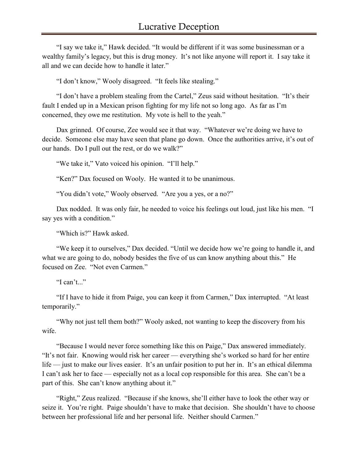"I say we take it," Hawk decided. "It would be different if it was some businessman or a wealthy family's legacy, but this is drug money. It's not like anyone will report it. I say take it all and we can decide how to handle it later."

"I don't know," Wooly disagreed. "It feels like stealing."

"I don't have a problem stealing from the Cartel," Zeus said without hesitation. "It's their fault I ended up in a Mexican prison fighting for my life not so long ago. As far as I'm concerned, they owe me restitution. My vote is hell to the yeah."

Dax grinned. Of course, Zee would see it that way. "Whatever we're doing we have to decide. Someone else may have seen that plane go down. Once the authorities arrive, it's out of our hands. Do I pull out the rest, or do we walk?"

"We take it," Vato voiced his opinion. "I'll help."

"Ken?" Dax focused on Wooly. He wanted it to be unanimous.

"You didn't vote," Wooly observed. "Are you a yes, or a no?"

Dax nodded. It was only fair, he needed to voice his feelings out loud, just like his men. "I say yes with a condition."

"Which is?" Hawk asked.

"We keep it to ourselves," Dax decided. "Until we decide how we're going to handle it, and what we are going to do, nobody besides the five of us can know anything about this." He focused on Zee. "Not even Carmen."

"I can't..."

"If I have to hide it from Paige, you can keep it from Carmen," Dax interrupted. "At least temporarily."

"Why not just tell them both?" Wooly asked, not wanting to keep the discovery from his wife.

"Because I would never force something like this on Paige," Dax answered immediately. "It's not fair. Knowing would risk her career — everything she's worked so hard for her entire life — just to make our lives easier. It's an unfair position to put her in. It's an ethical dilemma I can't ask her to face — especially not as a local cop responsible for this area. She can't be a part of this. She can't know anything about it."

"Right," Zeus realized. "Because if she knows, she'll either have to look the other way or seize it. You're right. Paige shouldn't have to make that decision. She shouldn't have to choose between her professional life and her personal life. Neither should Carmen."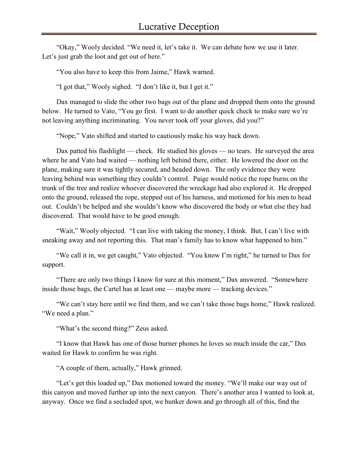"Okay," Wooly decided. "We need it, let's take it. We can debate how we use it later. Let's just grab the loot and get out of here."

"You also have to keep this from Jaime," Hawk warned.

"I got that," Wooly sighed. "I don't like it, but I get it."

Dax managed to slide the other two bags out of the plane and dropped them onto the ground below. He turned to Vato, "You go first. I want to do another quick check to make sure we're not leaving anything incriminating. You never took off your gloves, did you?"

"Nope," Vato shifted and started to cautiously make his way back down.

Dax patted his flashlight — check. He studied his gloves — no tears. He surveyed the area where he and Vato had waited — nothing left behind there, either. He lowered the door on the plane, making sure it was tightly secured, and headed down. The only evidence they were leaving behind was something they couldn't control. Paige would notice the rope burns on the trunk of the tree and realize whoever discovered the wreckage had also explored it. He dropped onto the ground, released the rope, stepped out of his harness, and motioned for his men to head out. Couldn't be helped and she wouldn't know who discovered the body or what else they had discovered. That would have to be good enough.

"Wait," Wooly objected. "I can live with taking the money, I think. But, I can't live with sneaking away and not reporting this. That man's family has to know what happened to him."

"We call it in, we get caught," Vato objected. "You know I'm right," he turned to Dax for support.

"There are only two things I know for sure at this moment," Dax answered. "Somewhere inside those bags, the Cartel has at least one — maybe more — tracking devices."

"We can't stay here until we find them, and we can't take those bags home," Hawk realized. "We need a plan."

"What's the second thing?" Zeus asked.

"I know that Hawk has one of those burner phones he loves so much inside the car," Dax waited for Hawk to confirm he was right.

"A couple of them, actually," Hawk grinned.

"Let's get this loaded up," Dax motioned toward the money. "We'll make our way out of this canyon and moved further up into the next canyon. There's another area I wanted to look at, anyway. Once we find a secluded spot, we hunker down and go through all of this, find the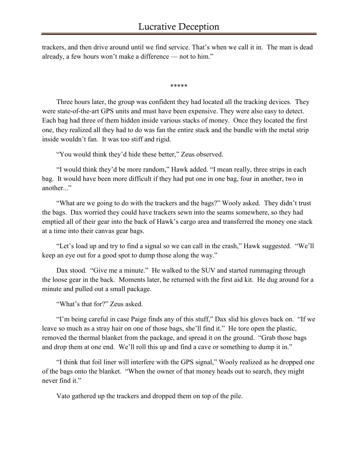trackers, and then drive around until we find service. That's when we call it in. The man is dead already, a few hours won't make a difference — not to him."

\*\*\*\*\*

Three hours later, the group was confident they had located all the tracking devices. They were state-of-the-art GPS units and must have been expensive. They were also easy to detect. Each bag had three of them hidden inside various stacks of money. Once they located the first one, they realized all they had to do was fan the entire stack and the bundle with the metal strip inside wouldn't fan. It was too stiff and rigid.

"You would think they'd hide these better," Zeus observed.

"I would think they'd be more random," Hawk added. "I mean really, three strips in each bag. It would have been more difficult if they had put one in one bag, four in another, two in another..."

"What are we going to do with the trackers and the bags?" Wooly asked. They didn't trust the bags. Dax worried they could have trackers sewn into the seams somewhere, so they had emptied all of their gear into the back of Hawk's cargo area and transferred the money one stack at a time into their canvas gear bags.

"Let's load up and try to find a signal so we can call in the crash," Hawk suggested. "We'll keep an eye out for a good spot to dump those along the way."

Dax stood. "Give me a minute." He walked to the SUV and started rummaging through the loose gear in the back. Moments later, he returned with the first aid kit. He dug around for a minute and pulled out a small package.

"What's that for?" Zeus asked.

"I'm being careful in case Paige finds any of this stuff," Dax slid his gloves back on. "If we leave so much as a stray hair on one of those bags, she'll find it." He tore open the plastic, removed the thermal blanket from the package, and spread it on the ground. "Grab those bags and drop them at one end. We'll roll this up and find a cave or something to dump it in."

"I think that foil liner will interfere with the GPS signal," Wooly realized as he dropped one of the bags onto the blanket. "When the owner of that money heads out to search, they might never find it."

Vato gathered up the trackers and dropped them on top of the pile.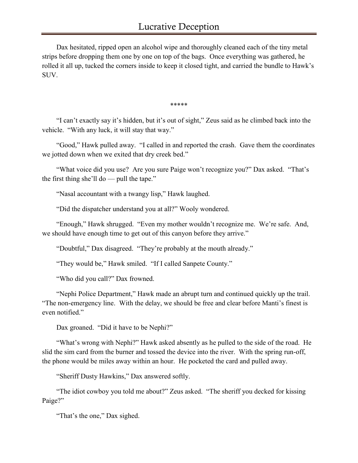Dax hesitated, ripped open an alcohol wipe and thoroughly cleaned each of the tiny metal strips before dropping them one by one on top of the bags. Once everything was gathered, he rolled it all up, tucked the corners inside to keep it closed tight, and carried the bundle to Hawk's SUV.

\*\*\*\*\*

"I can't exactly say it's hidden, but it's out of sight," Zeus said as he climbed back into the vehicle. "With any luck, it will stay that way."

"Good," Hawk pulled away. "I called in and reported the crash. Gave them the coordinates we jotted down when we exited that dry creek bed."

"What voice did you use? Are you sure Paige won't recognize you?" Dax asked. "That's the first thing she'll do — pull the tape."

"Nasal accountant with a twangy lisp," Hawk laughed.

"Did the dispatcher understand you at all?" Wooly wondered.

"Enough," Hawk shrugged. "Even my mother wouldn't recognize me. We're safe. And, we should have enough time to get out of this canyon before they arrive."

"Doubtful," Dax disagreed. "They're probably at the mouth already."

"They would be," Hawk smiled. "If I called Sanpete County."

"Who did you call?" Dax frowned.

"Nephi Police Department," Hawk made an abrupt turn and continued quickly up the trail. "The non-emergency line. With the delay, we should be free and clear before Manti's finest is even notified."

Dax groaned. "Did it have to be Nephi?"

"What's wrong with Nephi?" Hawk asked absently as he pulled to the side of the road. He slid the sim card from the burner and tossed the device into the river. With the spring run-off, the phone would be miles away within an hour. He pocketed the card and pulled away.

"Sheriff Dusty Hawkins," Dax answered softly.

"The idiot cowboy you told me about?" Zeus asked. "The sheriff you decked for kissing Paige?"

"That's the one," Dax sighed.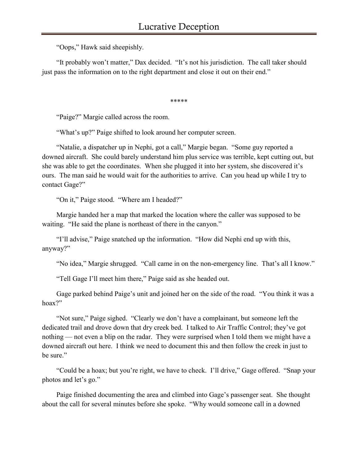"Oops," Hawk said sheepishly.

"It probably won't matter," Dax decided. "It's not his jurisdiction. The call taker should just pass the information on to the right department and close it out on their end."

\*\*\*\*\*

"Paige?" Margie called across the room.

"What's up?" Paige shifted to look around her computer screen.

"Natalie, a dispatcher up in Nephi, got a call," Margie began. "Some guy reported a downed aircraft. She could barely understand him plus service was terrible, kept cutting out, but she was able to get the coordinates. When she plugged it into her system, she discovered it's ours. The man said he would wait for the authorities to arrive. Can you head up while I try to contact Gage?"

"On it," Paige stood. "Where am I headed?"

Margie handed her a map that marked the location where the caller was supposed to be waiting. "He said the plane is northeast of there in the canyon."

"I'll advise," Paige snatched up the information. "How did Nephi end up with this, anyway?"

"No idea," Margie shrugged. "Call came in on the non-emergency line. That's all I know."

"Tell Gage I'll meet him there," Paige said as she headed out.

Gage parked behind Paige's unit and joined her on the side of the road. "You think it was a hoax?"

"Not sure," Paige sighed. "Clearly we don't have a complainant, but someone left the dedicated trail and drove down that dry creek bed. I talked to Air Traffic Control; they've got nothing — not even a blip on the radar. They were surprised when I told them we might have a downed aircraft out here. I think we need to document this and then follow the creek in just to be sure."

"Could be a hoax; but you're right, we have to check. I'll drive," Gage offered. "Snap your photos and let's go."

Paige finished documenting the area and climbed into Gage's passenger seat. She thought about the call for several minutes before she spoke. "Why would someone call in a downed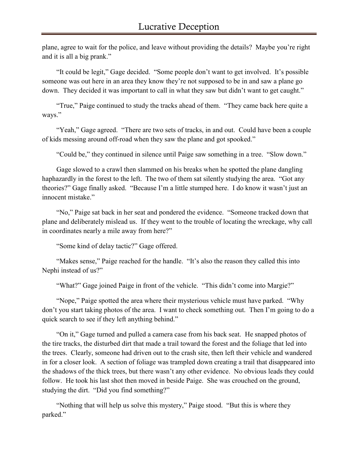plane, agree to wait for the police, and leave without providing the details? Maybe you're right and it is all a big prank."

"It could be legit," Gage decided. "Some people don't want to get involved. It's possible someone was out here in an area they know they're not supposed to be in and saw a plane go down. They decided it was important to call in what they saw but didn't want to get caught."

"True," Paige continued to study the tracks ahead of them. "They came back here quite a ways."

"Yeah," Gage agreed. "There are two sets of tracks, in and out. Could have been a couple of kids messing around off-road when they saw the plane and got spooked."

"Could be," they continued in silence until Paige saw something in a tree. "Slow down."

Gage slowed to a crawl then slammed on his breaks when he spotted the plane dangling haphazardly in the forest to the left. The two of them sat silently studying the area. "Got any theories?" Gage finally asked. "Because I'm a little stumped here. I do know it wasn't just an innocent mistake."

"No," Paige sat back in her seat and pondered the evidence. "Someone tracked down that plane and deliberately mislead us. If they went to the trouble of locating the wreckage, why call in coordinates nearly a mile away from here?"

"Some kind of delay tactic?" Gage offered.

"Makes sense," Paige reached for the handle. "It's also the reason they called this into Nephi instead of us?"

"What?" Gage joined Paige in front of the vehicle. "This didn't come into Margie?"

"Nope," Paige spotted the area where their mysterious vehicle must have parked. "Why don't you start taking photos of the area. I want to check something out. Then I'm going to do a quick search to see if they left anything behind."

"On it," Gage turned and pulled a camera case from his back seat. He snapped photos of the tire tracks, the disturbed dirt that made a trail toward the forest and the foliage that led into the trees. Clearly, someone had driven out to the crash site, then left their vehicle and wandered in for a closer look. A section of foliage was trampled down creating a trail that disappeared into the shadows of the thick trees, but there wasn't any other evidence. No obvious leads they could follow. He took his last shot then moved in beside Paige. She was crouched on the ground, studying the dirt. "Did you find something?"

"Nothing that will help us solve this mystery," Paige stood. "But this is where they parked."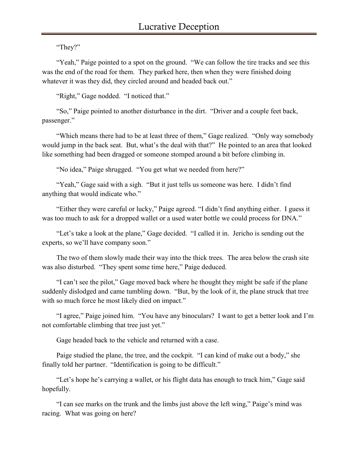"They?"

"Yeah," Paige pointed to a spot on the ground. "We can follow the tire tracks and see this was the end of the road for them. They parked here, then when they were finished doing whatever it was they did, they circled around and headed back out."

"Right," Gage nodded. "I noticed that."

"So," Paige pointed to another disturbance in the dirt. "Driver and a couple feet back, passenger."

"Which means there had to be at least three of them," Gage realized. "Only way somebody would jump in the back seat. But, what's the deal with that?" He pointed to an area that looked like something had been dragged or someone stomped around a bit before climbing in.

"No idea," Paige shrugged. "You get what we needed from here?"

"Yeah," Gage said with a sigh. "But it just tells us someone was here. I didn't find anything that would indicate who."

"Either they were careful or lucky," Paige agreed. "I didn't find anything either. I guess it was too much to ask for a dropped wallet or a used water bottle we could process for DNA."

"Let's take a look at the plane," Gage decided. "I called it in. Jericho is sending out the experts, so we'll have company soon."

The two of them slowly made their way into the thick trees. The area below the crash site was also disturbed. "They spent some time here," Paige deduced.

"I can't see the pilot," Gage moved back where he thought they might be safe if the plane suddenly dislodged and came tumbling down. "But, by the look of it, the plane struck that tree with so much force he most likely died on impact."

"I agree," Paige joined him. "You have any binoculars? I want to get a better look and I'm not comfortable climbing that tree just yet."

Gage headed back to the vehicle and returned with a case.

Paige studied the plane, the tree, and the cockpit. "I can kind of make out a body," she finally told her partner. "Identification is going to be difficult."

"Let's hope he's carrying a wallet, or his flight data has enough to track him," Gage said hopefully.

"I can see marks on the trunk and the limbs just above the left wing," Paige's mind was racing. What was going on here?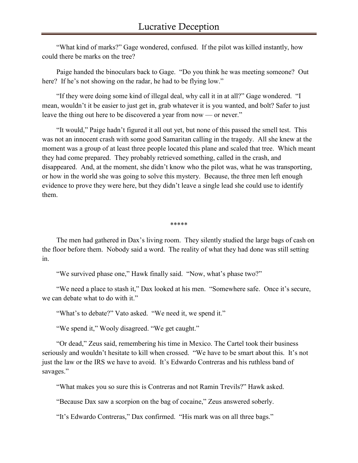"What kind of marks?" Gage wondered, confused. If the pilot was killed instantly, how could there be marks on the tree?

Paige handed the binoculars back to Gage. "Do you think he was meeting someone? Out here? If he's not showing on the radar, he had to be flying low."

"If they were doing some kind of illegal deal, why call it in at all?" Gage wondered. "I mean, wouldn't it be easier to just get in, grab whatever it is you wanted, and bolt? Safer to just leave the thing out here to be discovered a year from now — or never."

"It would," Paige hadn't figured it all out yet, but none of this passed the smell test. This was not an innocent crash with some good Samaritan calling in the tragedy. All she knew at the moment was a group of at least three people located this plane and scaled that tree. Which meant they had come prepared. They probably retrieved something, called in the crash, and disappeared. And, at the moment, she didn't know who the pilot was, what he was transporting, or how in the world she was going to solve this mystery. Because, the three men left enough evidence to prove they were here, but they didn't leave a single lead she could use to identify them.

\*\*\*\*\*

The men had gathered in Dax's living room. They silently studied the large bags of cash on the floor before them. Nobody said a word. The reality of what they had done was still setting in.

"We survived phase one," Hawk finally said. "Now, what's phase two?"

"We need a place to stash it," Dax looked at his men. "Somewhere safe. Once it's secure, we can debate what to do with it."

"What's to debate?" Vato asked. "We need it, we spend it."

"We spend it," Wooly disagreed. "We get caught."

"Or dead," Zeus said, remembering his time in Mexico. The Cartel took their business seriously and wouldn't hesitate to kill when crossed. "We have to be smart about this. It's not just the law or the IRS we have to avoid. It's Edwardo Contreras and his ruthless band of savages."

"What makes you so sure this is Contreras and not Ramin Trevils?" Hawk asked.

"Because Dax saw a scorpion on the bag of cocaine," Zeus answered soberly.

"It's Edwardo Contreras," Dax confirmed. "His mark was on all three bags."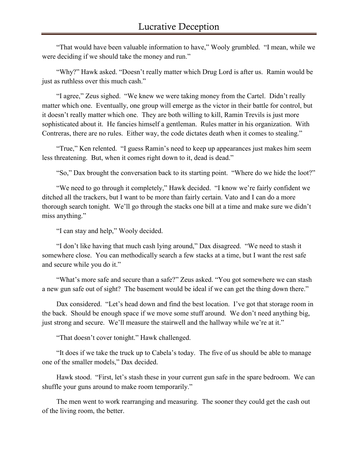"That would have been valuable information to have," Wooly grumbled. "I mean, while we were deciding if we should take the money and run."

"Why?" Hawk asked. "Doesn't really matter which Drug Lord is after us. Ramin would be just as ruthless over this much cash."

"I agree," Zeus sighed. "We knew we were taking money from the Cartel. Didn't really matter which one. Eventually, one group will emerge as the victor in their battle for control, but it doesn't really matter which one. They are both willing to kill, Ramin Trevils is just more sophisticated about it. He fancies himself a gentleman. Rules matter in his organization. With Contreras, there are no rules. Either way, the code dictates death when it comes to stealing."

"True," Ken relented. "I guess Ramin's need to keep up appearances just makes him seem less threatening. But, when it comes right down to it, dead is dead."

"So," Dax brought the conversation back to its starting point. "Where do we hide the loot?"

"We need to go through it completely," Hawk decided. "I know we're fairly confident we ditched all the trackers, but I want to be more than fairly certain. Vato and I can do a more thorough search tonight. We'll go through the stacks one bill at a time and make sure we didn't miss anything."

"I can stay and help," Wooly decided.

"I don't like having that much cash lying around," Dax disagreed. "We need to stash it somewhere close. You can methodically search a few stacks at a time, but I want the rest safe and secure while you do it."

"What's more safe and secure than a safe?" Zeus asked. "You got somewhere we can stash a new gun safe out of sight? The basement would be ideal if we can get the thing down there."

Dax considered. "Let's head down and find the best location. I've got that storage room in the back. Should be enough space if we move some stuff around. We don't need anything big, just strong and secure. We'll measure the stairwell and the hallway while we're at it."

"That doesn't cover tonight." Hawk challenged.

"It does if we take the truck up to Cabela's today. The five of us should be able to manage one of the smaller models," Dax decided.

Hawk stood. "First, let's stash these in your current gun safe in the spare bedroom. We can shuffle your guns around to make room temporarily."

The men went to work rearranging and measuring. The sooner they could get the cash out of the living room, the better.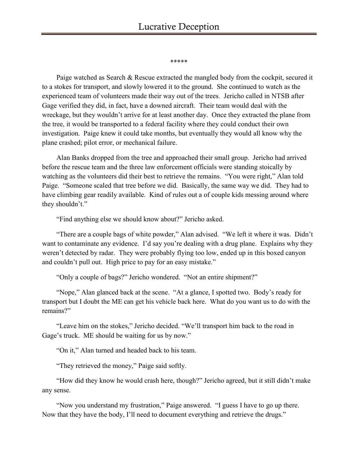\*\*\*\*\*

Paige watched as Search & Rescue extracted the mangled body from the cockpit, secured it to a stokes for transport, and slowly lowered it to the ground. She continued to watch as the experienced team of volunteers made their way out of the trees. Jericho called in NTSB after Gage verified they did, in fact, have a downed aircraft. Their team would deal with the wreckage, but they wouldn't arrive for at least another day. Once they extracted the plane from the tree, it would be transported to a federal facility where they could conduct their own investigation. Paige knew it could take months, but eventually they would all know why the plane crashed; pilot error, or mechanical failure.

Alan Banks dropped from the tree and approached their small group. Jericho had arrived before the rescue team and the three law enforcement officials were standing stoically by watching as the volunteers did their best to retrieve the remains. "You were right," Alan told Paige. "Someone scaled that tree before we did. Basically, the same way we did. They had to have climbing gear readily available. Kind of rules out a of couple kids messing around where they shouldn't."

"Find anything else we should know about?" Jericho asked.

"There are a couple bags of white powder," Alan advised. "We left it where it was. Didn't want to contaminate any evidence. I'd say you're dealing with a drug plane. Explains why they weren't detected by radar. They were probably flying too low, ended up in this boxed canyon and couldn't pull out. High price to pay for an easy mistake."

"Only a couple of bags?" Jericho wondered. "Not an entire shipment?"

"Nope," Alan glanced back at the scene. "At a glance, I spotted two. Body's ready for transport but I doubt the ME can get his vehicle back here. What do you want us to do with the remains?"

"Leave him on the stokes," Jericho decided. "We'll transport him back to the road in Gage's truck. ME should be waiting for us by now."

"On it," Alan turned and headed back to his team.

"They retrieved the money," Paige said softly.

"How did they know he would crash here, though?" Jericho agreed, but it still didn't make any sense.

"Now you understand my frustration," Paige answered. "I guess I have to go up there. Now that they have the body, I'll need to document everything and retrieve the drugs."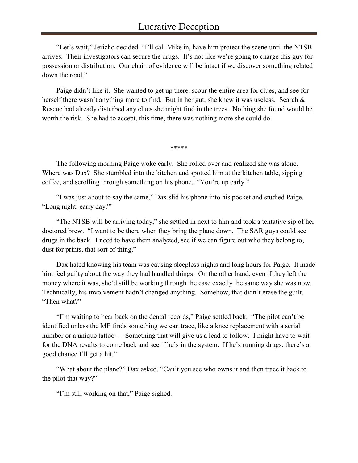"Let's wait," Jericho decided. "I'll call Mike in, have him protect the scene until the NTSB arrives. Their investigators can secure the drugs. It's not like we're going to charge this guy for possession or distribution. Our chain of evidence will be intact if we discover something related down the road."

Paige didn't like it. She wanted to get up there, scour the entire area for clues, and see for herself there wasn't anything more to find. But in her gut, she knew it was useless. Search & Rescue had already disturbed any clues she might find in the trees. Nothing she found would be worth the risk. She had to accept, this time, there was nothing more she could do.

\*\*\*\*\*

The following morning Paige woke early. She rolled over and realized she was alone. Where was Dax? She stumbled into the kitchen and spotted him at the kitchen table, sipping coffee, and scrolling through something on his phone. "You're up early."

"I was just about to say the same," Dax slid his phone into his pocket and studied Paige. "Long night, early day?"

"The NTSB will be arriving today," she settled in next to him and took a tentative sip of her doctored brew. "I want to be there when they bring the plane down. The SAR guys could see drugs in the back. I need to have them analyzed, see if we can figure out who they belong to, dust for prints, that sort of thing."

Dax hated knowing his team was causing sleepless nights and long hours for Paige. It made him feel guilty about the way they had handled things. On the other hand, even if they left the money where it was, she'd still be working through the case exactly the same way she was now. Technically, his involvement hadn't changed anything. Somehow, that didn't erase the guilt. "Then what?"

"I'm waiting to hear back on the dental records," Paige settled back. "The pilot can't be identified unless the ME finds something we can trace, like a knee replacement with a serial number or a unique tattoo — Something that will give us a lead to follow. I might have to wait for the DNA results to come back and see if he's in the system. If he's running drugs, there's a good chance I'll get a hit."

"What about the plane?" Dax asked. "Can't you see who owns it and then trace it back to the pilot that way?"

"I'm still working on that," Paige sighed.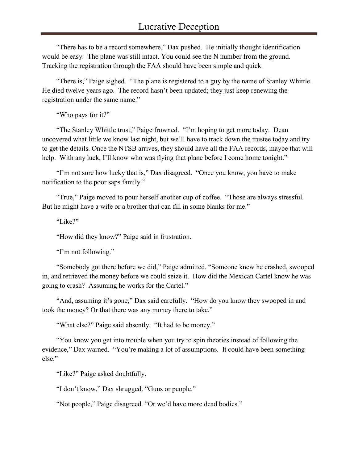"There has to be a record somewhere," Dax pushed. He initially thought identification would be easy. The plane was still intact. You could see the N number from the ground. Tracking the registration through the FAA should have been simple and quick.

"There is," Paige sighed. "The plane is registered to a guy by the name of Stanley Whittle. He died twelve years ago. The record hasn't been updated; they just keep renewing the registration under the same name."

"Who pays for it?"

"The Stanley Whittle trust," Paige frowned. "I'm hoping to get more today. Dean uncovered what little we know last night, but we'll have to track down the trustee today and try to get the details. Once the NTSB arrives, they should have all the FAA records, maybe that will help. With any luck, I'll know who was flying that plane before I come home tonight."

"I'm not sure how lucky that is," Dax disagreed. "Once you know, you have to make notification to the poor saps family."

"True," Paige moved to pour herself another cup of coffee. "Those are always stressful. But he might have a wife or a brother that can fill in some blanks for me."

"Like?"

"How did they know?" Paige said in frustration.

"I'm not following."

"Somebody got there before we did," Paige admitted. "Someone knew he crashed, swooped in, and retrieved the money before we could seize it. How did the Mexican Cartel know he was going to crash? Assuming he works for the Cartel."

"And, assuming it's gone," Dax said carefully. "How do you know they swooped in and took the money? Or that there was any money there to take."

"What else?" Paige said absently. "It had to be money."

"You know you get into trouble when you try to spin theories instead of following the evidence," Dax warned. "You're making a lot of assumptions. It could have been something else."

"Like?" Paige asked doubtfully.

"I don't know," Dax shrugged. "Guns or people."

"Not people," Paige disagreed. "Or we'd have more dead bodies."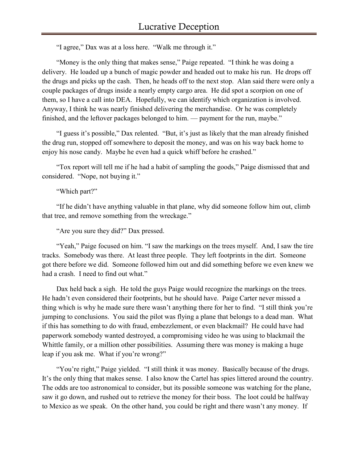"I agree," Dax was at a loss here. "Walk me through it."

"Money is the only thing that makes sense," Paige repeated. "I think he was doing a delivery. He loaded up a bunch of magic powder and headed out to make his run. He drops off the drugs and picks up the cash. Then, he heads off to the next stop. Alan said there were only a couple packages of drugs inside a nearly empty cargo area. He did spot a scorpion on one of them, so I have a call into DEA. Hopefully, we can identify which organization is involved. Anyway, I think he was nearly finished delivering the merchandise. Or he was completely finished, and the leftover packages belonged to him. — payment for the run, maybe."

"I guess it's possible," Dax relented. "But, it's just as likely that the man already finished the drug run, stopped off somewhere to deposit the money, and was on his way back home to enjoy his nose candy. Maybe he even had a quick whiff before he crashed."

"Tox report will tell me if he had a habit of sampling the goods," Paige dismissed that and considered. "Nope, not buying it."

"Which part?"

"If he didn't have anything valuable in that plane, why did someone follow him out, climb that tree, and remove something from the wreckage."

"Are you sure they did?" Dax pressed.

"Yeah," Paige focused on him. "I saw the markings on the trees myself. And, I saw the tire tracks. Somebody was there. At least three people. They left footprints in the dirt. Someone got there before we did. Someone followed him out and did something before we even knew we had a crash. I need to find out what."

Dax held back a sigh. He told the guys Paige would recognize the markings on the trees. He hadn't even considered their footprints, but he should have. Paige Carter never missed a thing which is why he made sure there wasn't anything there for her to find. "I still think you're jumping to conclusions. You said the pilot was flying a plane that belongs to a dead man. What if this has something to do with fraud, embezzlement, or even blackmail? He could have had paperwork somebody wanted destroyed, a compromising video he was using to blackmail the Whittle family, or a million other possibilities. Assuming there was money is making a huge leap if you ask me. What if you're wrong?"

"You're right," Paige yielded. "I still think it was money. Basically because of the drugs. It's the only thing that makes sense. I also know the Cartel has spies littered around the country. The odds are too astronomical to consider, but its possible someone was watching for the plane, saw it go down, and rushed out to retrieve the money for their boss. The loot could be halfway to Mexico as we speak. On the other hand, you could be right and there wasn't any money. If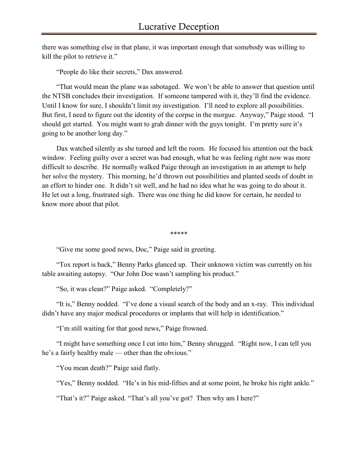there was something else in that plane, it was important enough that somebody was willing to kill the pilot to retrieve it."

"People do like their secrets," Dax answered.

"That would mean the plane was sabotaged. We won't be able to answer that question until the NTSB concludes their investigation. If someone tampered with it, they'll find the evidence. Until I know for sure, I shouldn't limit my investigation. I'll need to explore all possibilities. But first, I need to figure out the identity of the corpse in the morgue. Anyway," Paige stood. "I should get started. You might want to grab dinner with the guys tonight. I'm pretty sure it's going to be another long day."

Dax watched silently as she turned and left the room. He focused his attention out the back window. Feeling guilty over a secret was bad enough, what he was feeling right now was more difficult to describe. He normally walked Paige through an investigation in an attempt to help her solve the mystery. This morning, he'd thrown out possibilities and planted seeds of doubt in an effort to hinder one. It didn't sit well, and he had no idea what he was going to do about it. He let out a long, frustrated sigh. There was one thing he did know for certain, he needed to know more about that pilot.

\*\*\*\*\*

"Give me some good news, Doc," Paige said in greeting.

"Tox report is back," Benny Parks glanced up. Their unknown victim was currently on his table awaiting autopsy. "Our John Doe wasn't sampling his product."

"So, it was clean?" Paige asked. "Completely?"

"It is," Benny nodded. "I've done a visual search of the body and an x-ray. This individual didn't have any major medical procedures or implants that will help in identification."

"I'm still waiting for that good news," Paige frowned.

"I might have something once I cut into him," Benny shrugged. "Right now, I can tell you he's a fairly healthy male — other than the obvious."

"You mean death?" Paige said flatly.

"Yes," Benny nodded. "He's in his mid-fifties and at some point, he broke his right ankle."

"That's it?" Paige asked. "That's all you've got? Then why am I here?"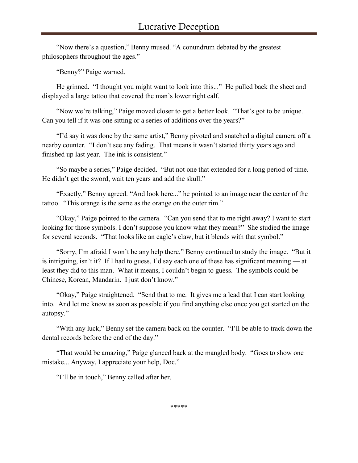"Now there's a question," Benny mused. "A conundrum debated by the greatest philosophers throughout the ages."

"Benny?" Paige warned.

He grinned. "I thought you might want to look into this..." He pulled back the sheet and displayed a large tattoo that covered the man's lower right calf.

"Now we're talking," Paige moved closer to get a better look. "That's got to be unique. Can you tell if it was one sitting or a series of additions over the years?"

"I'd say it was done by the same artist," Benny pivoted and snatched a digital camera off a nearby counter. "I don't see any fading. That means it wasn't started thirty years ago and finished up last year. The ink is consistent."

"So maybe a series," Paige decided. "But not one that extended for a long period of time. He didn't get the sword, wait ten years and add the skull."

"Exactly," Benny agreed. "And look here..." he pointed to an image near the center of the tattoo. "This orange is the same as the orange on the outer rim."

"Okay," Paige pointed to the camera. "Can you send that to me right away? I want to start looking for those symbols. I don't suppose you know what they mean?" She studied the image for several seconds. "That looks like an eagle's claw, but it blends with that symbol."

"Sorry, I'm afraid I won't be any help there," Benny continued to study the image. "But it is intriguing, isn't it? If I had to guess, I'd say each one of these has significant meaning — at least they did to this man. What it means, I couldn't begin to guess. The symbols could be Chinese, Korean, Mandarin. I just don't know."

"Okay," Paige straightened. "Send that to me. It gives me a lead that I can start looking into. And let me know as soon as possible if you find anything else once you get started on the autopsy."

"With any luck," Benny set the camera back on the counter. "I'll be able to track down the dental records before the end of the day."

"That would be amazing," Paige glanced back at the mangled body. "Goes to show one mistake... Anyway, I appreciate your help, Doc."

"I'll be in touch," Benny called after her.

\*\*\*\*\*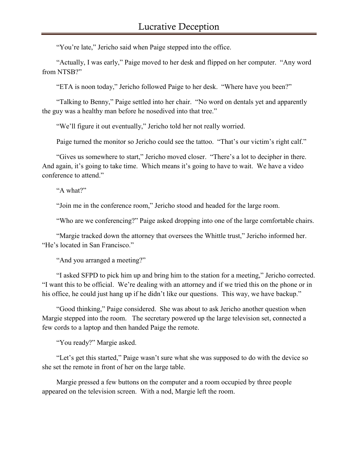"You're late," Jericho said when Paige stepped into the office.

"Actually, I was early," Paige moved to her desk and flipped on her computer. "Any word from NTSB?"

"ETA is noon today," Jericho followed Paige to her desk. "Where have you been?"

"Talking to Benny," Paige settled into her chair. "No word on dentals yet and apparently the guy was a healthy man before he nosedived into that tree."

"We'll figure it out eventually," Jericho told her not really worried.

Paige turned the monitor so Jericho could see the tattoo. "That's our victim's right calf."

"Gives us somewhere to start," Jericho moved closer. "There's a lot to decipher in there. And again, it's going to take time. Which means it's going to have to wait. We have a video conference to attend."

"A what?"

"Join me in the conference room," Jericho stood and headed for the large room.

"Who are we conferencing?" Paige asked dropping into one of the large comfortable chairs.

"Margie tracked down the attorney that oversees the Whittle trust," Jericho informed her. "He's located in San Francisco."

"And you arranged a meeting?"

"I asked SFPD to pick him up and bring him to the station for a meeting," Jericho corrected. "I want this to be official. We're dealing with an attorney and if we tried this on the phone or in his office, he could just hang up if he didn't like our questions. This way, we have backup."

"Good thinking," Paige considered. She was about to ask Jericho another question when Margie stepped into the room. The secretary powered up the large television set, connected a few cords to a laptop and then handed Paige the remote.

"You ready?" Margie asked.

"Let's get this started," Paige wasn't sure what she was supposed to do with the device so she set the remote in front of her on the large table.

Margie pressed a few buttons on the computer and a room occupied by three people appeared on the television screen. With a nod, Margie left the room.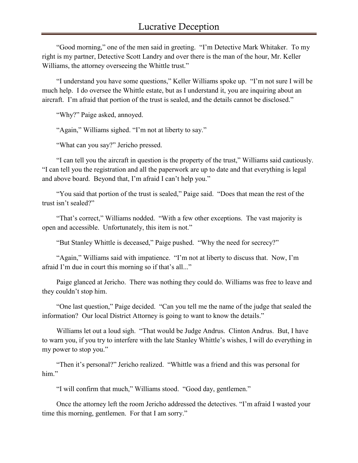"Good morning," one of the men said in greeting. "I'm Detective Mark Whitaker. To my right is my partner, Detective Scott Landry and over there is the man of the hour, Mr. Keller Williams, the attorney overseeing the Whittle trust."

"I understand you have some questions," Keller Williams spoke up. "I'm not sure I will be much help. I do oversee the Whittle estate, but as I understand it, you are inquiring about an aircraft. I'm afraid that portion of the trust is sealed, and the details cannot be disclosed."

"Why?" Paige asked, annoyed.

"Again," Williams sighed. "I'm not at liberty to say."

"What can you say?" Jericho pressed.

"I can tell you the aircraft in question is the property of the trust," Williams said cautiously. "I can tell you the registration and all the paperwork are up to date and that everything is legal and above board. Beyond that, I'm afraid I can't help you."

"You said that portion of the trust is sealed," Paige said. "Does that mean the rest of the trust isn't sealed?"

"That's correct," Williams nodded. "With a few other exceptions. The vast majority is open and accessible. Unfortunately, this item is not."

"But Stanley Whittle is deceased," Paige pushed. "Why the need for secrecy?"

"Again," Williams said with impatience. "I'm not at liberty to discuss that. Now, I'm afraid I'm due in court this morning so if that's all..."

Paige glanced at Jericho. There was nothing they could do. Williams was free to leave and they couldn't stop him.

"One last question," Paige decided. "Can you tell me the name of the judge that sealed the information? Our local District Attorney is going to want to know the details."

Williams let out a loud sigh. "That would be Judge Andrus. Clinton Andrus. But, I have to warn you, if you try to interfere with the late Stanley Whittle's wishes, I will do everything in my power to stop you."

"Then it's personal?" Jericho realized. "Whittle was a friend and this was personal for him."

"I will confirm that much," Williams stood. "Good day, gentlemen."

Once the attorney left the room Jericho addressed the detectives. "I'm afraid I wasted your time this morning, gentlemen. For that I am sorry."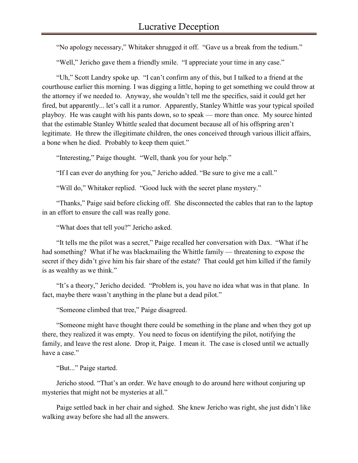"No apology necessary," Whitaker shrugged it off. "Gave us a break from the tedium."

"Well," Jericho gave them a friendly smile. "I appreciate your time in any case."

"Uh," Scott Landry spoke up. "I can't confirm any of this, but I talked to a friend at the courthouse earlier this morning. I was digging a little, hoping to get something we could throw at the attorney if we needed to. Anyway, she wouldn't tell me the specifics, said it could get her fired, but apparently... let's call it a rumor. Apparently, Stanley Whittle was your typical spoiled playboy. He was caught with his pants down, so to speak — more than once. My source hinted that the estimable Stanley Whittle sealed that document because all of his offspring aren't legitimate. He threw the illegitimate children, the ones conceived through various illicit affairs, a bone when he died. Probably to keep them quiet."

"Interesting," Paige thought. "Well, thank you for your help."

"If I can ever do anything for you," Jericho added. "Be sure to give me a call."

"Will do," Whitaker replied. "Good luck with the secret plane mystery."

"Thanks," Paige said before clicking off. She disconnected the cables that ran to the laptop in an effort to ensure the call was really gone.

"What does that tell you?" Jericho asked.

"It tells me the pilot was a secret," Paige recalled her conversation with Dax. "What if he had something? What if he was blackmailing the Whittle family — threatening to expose the secret if they didn't give him his fair share of the estate? That could get him killed if the family is as wealthy as we think."

"It's a theory," Jericho decided. "Problem is, you have no idea what was in that plane. In fact, maybe there wasn't anything in the plane but a dead pilot."

"Someone climbed that tree," Paige disagreed.

"Someone might have thought there could be something in the plane and when they got up there, they realized it was empty. You need to focus on identifying the pilot, notifying the family, and leave the rest alone. Drop it, Paige. I mean it. The case is closed until we actually have a case."

"But..." Paige started.

Jericho stood. "That's an order. We have enough to do around here without conjuring up mysteries that might not be mysteries at all."

Paige settled back in her chair and sighed. She knew Jericho was right, she just didn't like walking away before she had all the answers.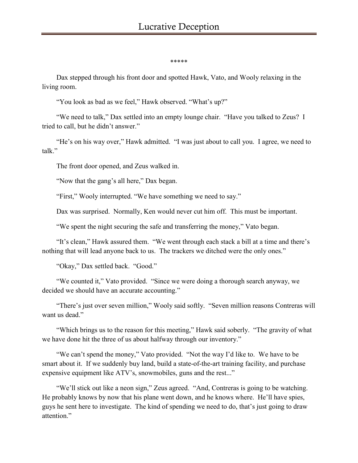\*\*\*\*\*

Dax stepped through his front door and spotted Hawk, Vato, and Wooly relaxing in the living room.

"You look as bad as we feel," Hawk observed. "What's up?"

"We need to talk," Dax settled into an empty lounge chair. "Have you talked to Zeus? I tried to call, but he didn't answer."

"He's on his way over," Hawk admitted. "I was just about to call you. I agree, we need to talk."

The front door opened, and Zeus walked in.

"Now that the gang's all here," Dax began.

"First," Wooly interrupted. "We have something we need to say."

Dax was surprised. Normally, Ken would never cut him off. This must be important.

"We spent the night securing the safe and transferring the money," Vato began.

"It's clean," Hawk assured them. "We went through each stack a bill at a time and there's nothing that will lead anyone back to us. The trackers we ditched were the only ones."

"Okay," Dax settled back. "Good."

"We counted it," Vato provided. "Since we were doing a thorough search anyway, we decided we should have an accurate accounting."

"There's just over seven million," Wooly said softly. "Seven million reasons Contreras will want us dead."

"Which brings us to the reason for this meeting," Hawk said soberly. "The gravity of what we have done hit the three of us about halfway through our inventory."

"We can't spend the money," Vato provided. "Not the way I'd like to. We have to be smart about it. If we suddenly buy land, build a state-of-the-art training facility, and purchase expensive equipment like ATV's, snowmobiles, guns and the rest..."

"We'll stick out like a neon sign," Zeus agreed. "And, Contreras is going to be watching. He probably knows by now that his plane went down, and he knows where. He'll have spies, guys he sent here to investigate. The kind of spending we need to do, that's just going to draw attention."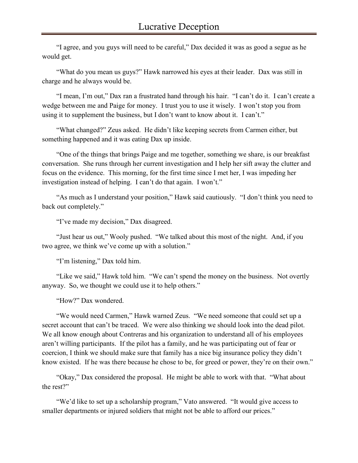"I agree, and you guys will need to be careful," Dax decided it was as good a segue as he would get.

"What do you mean us guys?" Hawk narrowed his eyes at their leader. Dax was still in charge and he always would be.

"I mean, I'm out," Dax ran a frustrated hand through his hair. "I can't do it. I can't create a wedge between me and Paige for money. I trust you to use it wisely. I won't stop you from using it to supplement the business, but I don't want to know about it. I can't."

"What changed?" Zeus asked. He didn't like keeping secrets from Carmen either, but something happened and it was eating Dax up inside.

"One of the things that brings Paige and me together, something we share, is our breakfast conversation. She runs through her current investigation and I help her sift away the clutter and focus on the evidence. This morning, for the first time since I met her, I was impeding her investigation instead of helping. I can't do that again. I won't."

"As much as I understand your position," Hawk said cautiously. "I don't think you need to back out completely."

"I've made my decision," Dax disagreed.

"Just hear us out," Wooly pushed. "We talked about this most of the night. And, if you two agree, we think we've come up with a solution."

"I'm listening," Dax told him.

"Like we said," Hawk told him. "We can't spend the money on the business. Not overtly anyway. So, we thought we could use it to help others."

"How?" Dax wondered.

"We would need Carmen," Hawk warned Zeus. "We need someone that could set up a secret account that can't be traced. We were also thinking we should look into the dead pilot. We all know enough about Contreras and his organization to understand all of his employees aren't willing participants. If the pilot has a family, and he was participating out of fear or coercion, I think we should make sure that family has a nice big insurance policy they didn't know existed. If he was there because he chose to be, for greed or power, they're on their own."

"Okay," Dax considered the proposal. He might be able to work with that. "What about the rest?"

"We'd like to set up a scholarship program," Vato answered. "It would give access to smaller departments or injured soldiers that might not be able to afford our prices."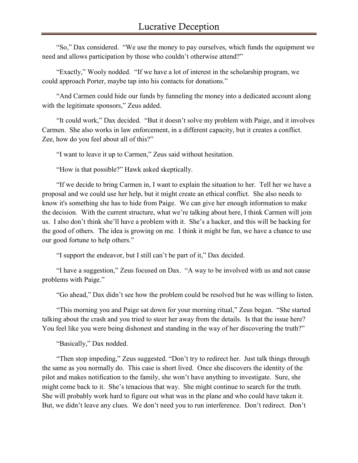"So," Dax considered. "We use the money to pay ourselves, which funds the equipment we need and allows participation by those who couldn't otherwise attend?"

"Exactly," Wooly nodded. "If we have a lot of interest in the scholarship program, we could approach Porter, maybe tap into his contacts for donations."

"And Carmen could hide our funds by funneling the money into a dedicated account along with the legitimate sponsors," Zeus added.

"It could work," Dax decided. "But it doesn't solve my problem with Paige, and it involves Carmen. She also works in law enforcement, in a different capacity, but it creates a conflict. Zee, how do you feel about all of this?"

"I want to leave it up to Carmen," Zeus said without hesitation.

"How is that possible?" Hawk asked skeptically.

"If we decide to bring Carmen in, I want to explain the situation to her. Tell her we have a proposal and we could use her help, but it might create an ethical conflict. She also needs to know it's something she has to hide from Paige. We can give her enough information to make the decision. With the current structure, what we're talking about here, I think Carmen will join us. I also don't think she'll have a problem with it. She's a hacker, and this will be hacking for the good of others. The idea is growing on me. I think it might be fun, we have a chance to use our good fortune to help others."

"I support the endeavor, but I still can't be part of it," Dax decided.

"I have a suggestion," Zeus focused on Dax. "A way to be involved with us and not cause problems with Paige."

"Go ahead," Dax didn't see how the problem could be resolved but he was willing to listen.

"This morning you and Paige sat down for your morning ritual," Zeus began. "She started talking about the crash and you tried to steer her away from the details. Is that the issue here? You feel like you were being dishonest and standing in the way of her discovering the truth?"

"Basically," Dax nodded.

"Then stop impeding," Zeus suggested. "Don't try to redirect her. Just talk things through the same as you normally do. This case is short lived. Once she discovers the identity of the pilot and makes notification to the family, she won't have anything to investigate. Sure, she might come back to it. She's tenacious that way. She might continue to search for the truth. She will probably work hard to figure out what was in the plane and who could have taken it. But, we didn't leave any clues. We don't need you to run interference. Don't redirect. Don't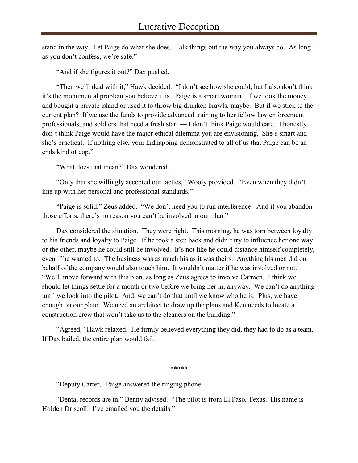stand in the way. Let Paige do what she does. Talk things out the way you always do. As long as you don't confess, we're safe."

"And if she figures it out?" Dax pushed.

"Then we'll deal with it," Hawk decided. "I don't see how she could, but I also don't think it's the monumental problem you believe it is. Paige is a smart woman. If we took the money and bought a private island or used it to throw big drunken brawls, maybe. But if we stick to the current plan? If we use the funds to provide advanced training to her fellow law enforcement professionals, and soldiers that need a fresh start — I don't think Paige would care. I honestly don't think Paige would have the major ethical dilemma you are envisioning. She's smart and she's practical. If nothing else, your kidnapping demonstrated to all of us that Paige can be an ends kind of cop."

"What does that mean?" Dax wondered.

"Only that she willingly accepted our tactics," Wooly provided. "Even when they didn't line up with her personal and professional standards."

"Paige is solid," Zeus added. "We don't need you to run interference. And if you abandon those efforts, there's no reason you can't be involved in our plan."

Dax considered the situation. They were right. This morning, he was torn between loyalty to his friends and loyalty to Paige. If he took a step back and didn't try to influence her one way or the other, maybe he could still be involved. It's not like he could distance himself completely, even if he wanted to. The business was as much his as it was theirs. Anything his men did on behalf of the company would also touch him. It wouldn't matter if he was involved or not. "We'll move forward with this plan, as long as Zeus agrees to involve Carmen. I think we should let things settle for a month or two before we bring her in, anyway. We can't do anything until we look into the pilot. And, we can't do that until we know who he is. Plus, we have enough on our plate. We need an architect to draw up the plans and Ken needs to locate a construction crew that won't take us to the cleaners on the building."

"Agreed," Hawk relaxed. He firmly believed everything they did, they had to do as a team. If Dax bailed, the entire plan would fail.

\*\*\*\*\*

"Deputy Carter," Paige answered the ringing phone.

"Dental records are in," Benny advised. "The pilot is from El Paso, Texas. His name is Holden Driscoll. I've emailed you the details."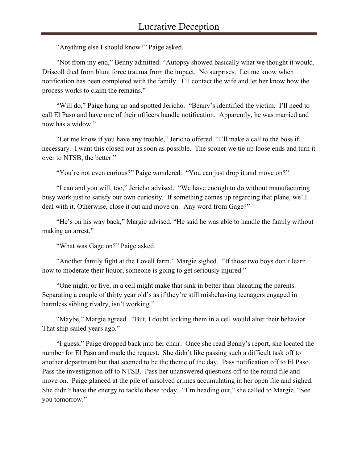"Anything else I should know?" Paige asked.

"Not from my end," Benny admitted. "Autopsy showed basically what we thought it would. Driscoll died from blunt force trauma from the impact. No surprises. Let me know when notification has been completed with the family. I'll contact the wife and let her know how the process works to claim the remains."

"Will do," Paige hung up and spotted Jericho. "Benny's identified the victim. I'll need to call El Paso and have one of their officers handle notification. Apparently, he was married and now has a widow."

"Let me know if you have any trouble," Jericho offered. "I'll make a call to the boss if necessary. I want this closed out as soon as possible. The sooner we tie up loose ends and turn it over to NTSB, the better."

"You're not even curious?" Paige wondered. "You can just drop it and move on?"

"I can and you will, too," Jericho advised. "We have enough to do without manufacturing busy work just to satisfy our own curiosity. If something comes up regarding that plane, we'll deal with it. Otherwise, close it out and move on. Any word from Gage?"

"He's on his way back," Margie advised. "He said he was able to handle the family without making an arrest."

"What was Gage on?" Paige asked.

"Another family fight at the Lovell farm," Margie sighed. "If those two boys don't learn how to moderate their liquor, someone is going to get seriously injured."

"One night, or five, in a cell might make that sink in better than placating the parents. Separating a couple of thirty year old's as if they're still misbehaving teenagers engaged in harmless sibling rivalry, isn't working."

"Maybe," Margie agreed. "But, I doubt locking them in a cell would alter their behavior. That ship sailed years ago."

"I guess," Paige dropped back into her chair. Once she read Benny's report, she located the number for El Paso and made the request. She didn't like passing such a difficult task off to another department but that seemed to be the theme of the day. Pass notification off to El Paso. Pass the investigation off to NTSB. Pass her unanswered questions off to the round file and move on. Paige glanced at the pile of unsolved crimes accumulating in her open file and sighed. She didn't have the energy to tackle those today. "I'm heading out," she called to Margie. "See you tomorrow."